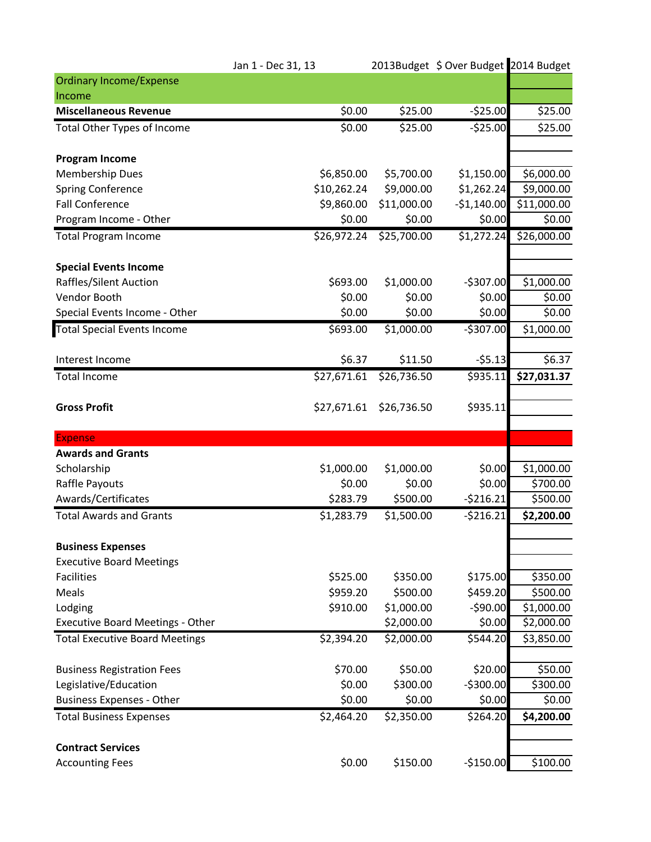|                                         | Jan 1 - Dec 31, 13 |             | 2013Budget \$ Over Budget 2014 Budget |             |
|-----------------------------------------|--------------------|-------------|---------------------------------------|-------------|
| <b>Ordinary Income/Expense</b>          |                    |             |                                       |             |
| Income                                  |                    |             |                                       |             |
| <b>Miscellaneous Revenue</b>            | \$0.00             | \$25.00     | $-525.00$                             | \$25.00     |
| <b>Total Other Types of Income</b>      | \$0.00             | \$25.00     | $-525.00$                             | \$25.00     |
| <b>Program Income</b>                   |                    |             |                                       |             |
| <b>Membership Dues</b>                  | \$6,850.00         | \$5,700.00  | \$1,150.00                            | \$6,000.00  |
| Spring Conference                       | \$10,262.24        | \$9,000.00  | \$1,262.24                            | \$9,000.00  |
| <b>Fall Conference</b>                  | \$9,860.00         | \$11,000.00 | $-$1,140.00$                          | \$11,000.00 |
| Program Income - Other                  | \$0.00             | \$0.00      | \$0.00                                | \$0.00      |
| <b>Total Program Income</b>             | \$26,972.24        | \$25,700.00 | \$1,272.24                            | \$26,000.00 |
| <b>Special Events Income</b>            |                    |             |                                       |             |
| Raffles/Silent Auction                  | \$693.00           | \$1,000.00  | $-$307.00$                            | \$1,000.00  |
| Vendor Booth                            | \$0.00             | \$0.00      | \$0.00                                | \$0.00      |
| Special Events Income - Other           | \$0.00             | \$0.00      | \$0.00                                | \$0.00      |
| <b>Total Special Events Income</b>      | \$693.00           | \$1,000.00  | $-$307.00$                            | \$1,000.00  |
| Interest Income                         | \$6.37             | \$11.50     | $-55.13$                              | \$6.37      |
| <b>Total Income</b>                     | \$27,671.61        | \$26,736.50 | \$935.11                              | \$27,031.37 |
| <b>Gross Profit</b>                     | \$27,671.61        | \$26,736.50 | \$935.11                              |             |
| <b>Expense</b>                          |                    |             |                                       |             |
| <b>Awards and Grants</b>                |                    |             |                                       |             |
| Scholarship                             | \$1,000.00         | \$1,000.00  | \$0.00                                | \$1,000.00  |
| Raffle Payouts                          | \$0.00             | \$0.00      | \$0.00                                | \$700.00    |
| Awards/Certificates                     | \$283.79           | \$500.00    | $-5216.21$                            | \$500.00    |
| <b>Total Awards and Grants</b>          | \$1,283.79         | \$1,500.00  | $-5216.21$                            | \$2,200.00  |
| <b>Business Expenses</b>                |                    |             |                                       |             |
| <b>Executive Board Meetings</b>         |                    |             |                                       |             |
| <b>Facilities</b>                       | \$525.00           | \$350.00    | \$175.00                              | \$350.00    |
| Meals                                   | \$959.20           | \$500.00    | \$459.20                              | \$500.00    |
| Lodging                                 | \$910.00           | \$1,000.00  | $-590.00$                             | \$1,000.00  |
| <b>Executive Board Meetings - Other</b> |                    | \$2,000.00  | \$0.00                                | \$2,000.00  |
| <b>Total Executive Board Meetings</b>   | \$2,394.20         | \$2,000.00  | \$544.20                              | \$3,850.00  |
| <b>Business Registration Fees</b>       | \$70.00            | \$50.00     | \$20.00                               | \$50.00     |
| Legislative/Education                   | \$0.00             | \$300.00    | $-$300.00$                            | \$300.00    |
| <b>Business Expenses - Other</b>        | \$0.00             | \$0.00      | \$0.00                                | \$0.00      |
| <b>Total Business Expenses</b>          | \$2,464.20         | \$2,350.00  | \$264.20                              | \$4,200.00  |
| <b>Contract Services</b>                |                    |             |                                       |             |
| <b>Accounting Fees</b>                  | \$0.00             | \$150.00    | $-$150.00$                            | \$100.00    |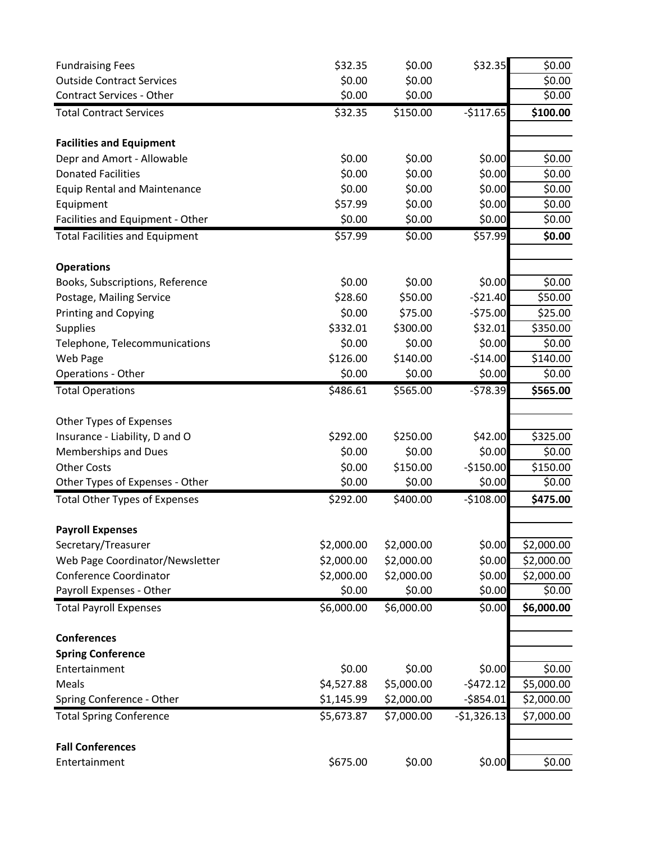| <b>Fundraising Fees</b>               | \$32.35    | \$0.00     | \$32.35      | \$0.00     |
|---------------------------------------|------------|------------|--------------|------------|
| <b>Outside Contract Services</b>      | \$0.00     | \$0.00     |              | \$0.00     |
| <b>Contract Services - Other</b>      | \$0.00     | \$0.00     |              | \$0.00     |
| <b>Total Contract Services</b>        | \$32.35    | \$150.00   | $-$117.65$   | \$100.00   |
| <b>Facilities and Equipment</b>       |            |            |              |            |
| Depr and Amort - Allowable            | \$0.00     | \$0.00     | \$0.00       | \$0.00     |
| <b>Donated Facilities</b>             | \$0.00     | \$0.00     | \$0.00       | \$0.00     |
| <b>Equip Rental and Maintenance</b>   | \$0.00     | \$0.00     | \$0.00       | \$0.00     |
| Equipment                             | \$57.99    | \$0.00     | \$0.00       | \$0.00     |
| Facilities and Equipment - Other      | \$0.00     | \$0.00     | \$0.00       | \$0.00     |
| <b>Total Facilities and Equipment</b> | \$57.99    | \$0.00     | \$57.99      | \$0.00     |
| <b>Operations</b>                     |            |            |              |            |
| Books, Subscriptions, Reference       | \$0.00     | \$0.00     | \$0.00       | \$0.00     |
| Postage, Mailing Service              | \$28.60    | \$50.00    | $-521.40$    | \$50.00    |
| <b>Printing and Copying</b>           | \$0.00     | \$75.00    | $-575.00$    | \$25.00    |
| <b>Supplies</b>                       | \$332.01   | \$300.00   | \$32.01      | \$350.00   |
| Telephone, Telecommunications         | \$0.00     | \$0.00     | \$0.00       | \$0.00     |
| Web Page                              | \$126.00   | \$140.00   | $-$14.00$    | \$140.00   |
| Operations - Other                    | \$0.00     | \$0.00     | \$0.00       | \$0.00     |
| <b>Total Operations</b>               | \$486.61   | \$565.00   | $-578.39$    | \$565.00   |
| Other Types of Expenses               |            |            |              |            |
| Insurance - Liability, D and O        | \$292.00   | \$250.00   | \$42.00      | \$325.00   |
| <b>Memberships and Dues</b>           | \$0.00     | \$0.00     | \$0.00       | \$0.00     |
| <b>Other Costs</b>                    | \$0.00     | \$150.00   | $-$150.00$   | \$150.00   |
| Other Types of Expenses - Other       | \$0.00     | \$0.00     | \$0.00       | \$0.00     |
| <b>Total Other Types of Expenses</b>  | \$292.00   | \$400.00   | $-$108.00$   | \$475.00   |
| <b>Payroll Expenses</b>               |            |            |              |            |
| Secretary/Treasurer                   | \$2,000.00 | \$2,000.00 | \$0.00       | \$2,000.00 |
| Web Page Coordinator/Newsletter       | \$2,000.00 | \$2,000.00 | \$0.00       | \$2,000.00 |
| Conference Coordinator                | \$2,000.00 | \$2,000.00 | \$0.00       | \$2,000.00 |
| Payroll Expenses - Other              | \$0.00     | \$0.00     | \$0.00       | \$0.00     |
| <b>Total Payroll Expenses</b>         | \$6,000.00 | \$6,000.00 | \$0.00       | \$6,000.00 |
| <b>Conferences</b>                    |            |            |              |            |
| <b>Spring Conference</b>              |            |            |              |            |
| Entertainment                         | \$0.00     | \$0.00     | \$0.00       | \$0.00     |
| Meals                                 | \$4,527.88 | \$5,000.00 | $-5472.12$   | \$5,000.00 |
| Spring Conference - Other             | \$1,145.99 | \$2,000.00 | $-$854.01$   | \$2,000.00 |
| <b>Total Spring Conference</b>        | \$5,673.87 | \$7,000.00 | $-51,326.13$ | \$7,000.00 |
| <b>Fall Conferences</b>               |            |            |              |            |
| Entertainment                         | \$675.00   | \$0.00     | \$0.00       | \$0.00     |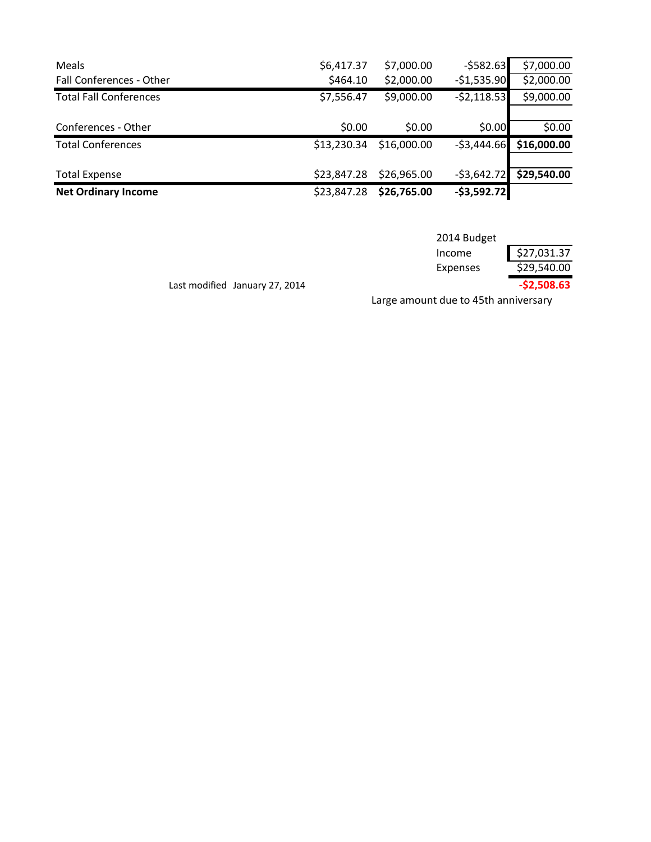| Meals                         | \$6,417.37  | \$7,000.00  | $-5582.63$   | \$7,000.00  |
|-------------------------------|-------------|-------------|--------------|-------------|
| Fall Conferences - Other      | \$464.10    | \$2,000.00  | $-$1,535.90$ | \$2,000.00  |
| <b>Total Fall Conferences</b> | \$7,556.47  | \$9,000.00  | $-52,118.53$ | \$9,000.00  |
|                               |             |             |              |             |
| Conferences - Other           | \$0.00      | \$0.00      | \$0.00       | \$0.00      |
| <b>Total Conferences</b>      | \$13,230.34 | \$16,000.00 | $-53,444.66$ | \$16,000.00 |
|                               |             |             |              |             |
| <b>Total Expense</b>          | \$23,847.28 | \$26,965.00 | $-53,642.72$ | \$29,540.00 |
| <b>Net Ordinary Income</b>    | \$23,847.28 | \$26,765.00 | $-53,592.72$ |             |

|             | $-52,508.63$ |
|-------------|--------------|
| Expenses    | \$29,540.00  |
| Income      | \$27,031.37  |
| 2014 Budget |              |

Last modified January 27, 2014

Large amount due to 45th anniversary